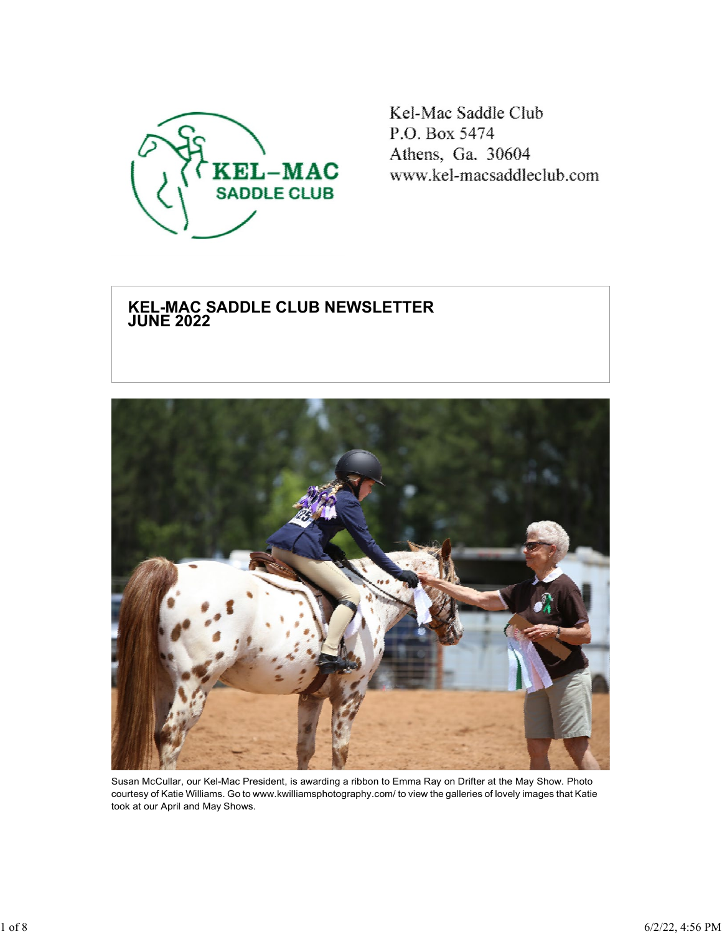

Kel-Mac Saddle Club P.O. Box 5474 Athens, Ga. 30604 www.kel-macsaddleclub.com

# **KEL-MAC SADDLE CLUB NEWSLETTER JUNE 2022**



Susan McCullar, our Kel-Mac President, is awarding a ribbon to Emma Ray on Drifter at the May Show. Photo courtesy of Katie Williams. Go to [www.kwilliamsphotography.com/](http://www.kwilliamsphotography.com/) to view the galleries of lovely images that Katie took at our April and May Shows.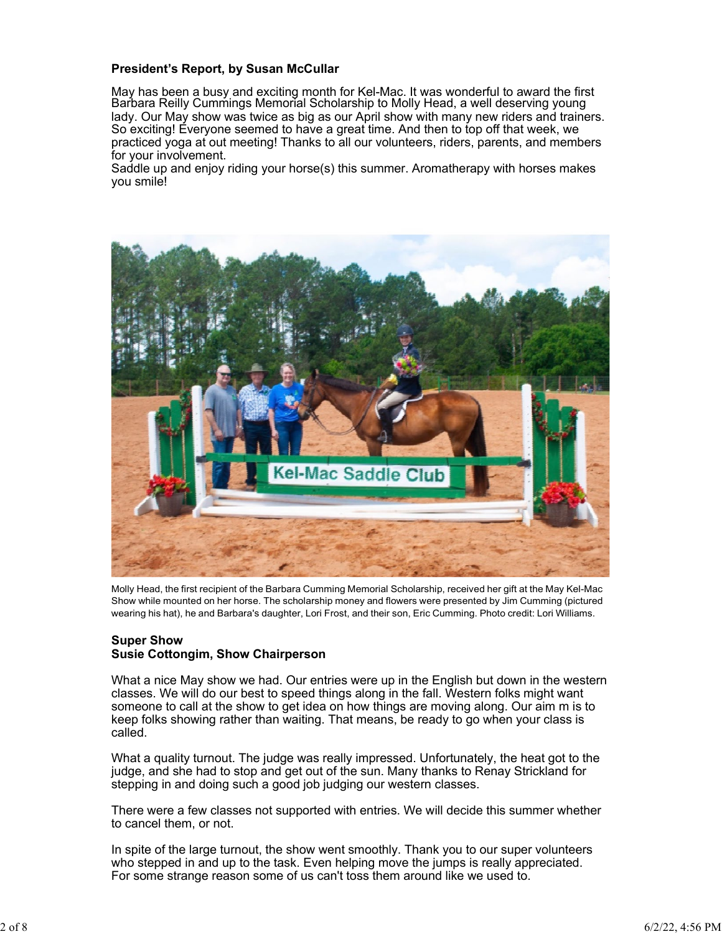# **President's Report, by Susan McCullar**

May has been a busy and exciting month for Kel-Mac. It was wonderful to award the first Barbara Reilly Cummings Memorial Scholarship to Molly Head, a well deserving young lady. Our May show was twice as big as our April show with many new riders and trainers. So exciting! Everyone seemed to have a great time. And then to top off that week, we practiced yoga at out meeting! Thanks to all our volunteers, riders, parents, and members for your involvement.

Saddle up and enjoy riding your horse(s) this summer. Aromatherapy with horses makes you smile!



Molly Head, the first recipient of the Barbara Cumming Memorial Scholarship, received her gift at the May Kel-Mac Show while mounted on her horse. The scholarship money and flowers were presented by Jim Cumming (pictured wearing his hat), he and Barbara's daughter, Lori Frost, and their son, Eric Cumming. Photo credit: Lori Williams.

### **Super Show Susie Cottongim, Show Chairperson**

What a nice May show we had. Our entries were up in the English but down in the western classes. We will do our best to speed things along in the fall. Western folks might want someone to call at the show to get idea on how things are moving along. Our aim m is to keep folks showing rather than waiting. That means, be ready to go when your class is called.

What a quality turnout. The judge was really impressed. Unfortunately, the heat got to the judge, and she had to stop and get out of the sun. Many thanks to Renay Strickland for stepping in and doing such a good job judging our western classes.

There were a few classes not supported with entries. We will decide this summer whether to cancel them, or not.

In spite of the large turnout, the show went smoothly. Thank you to our super volunteers who stepped in and up to the task. Even helping move the jumps is really appreciated. For some strange reason some of us can't toss them around like we used to.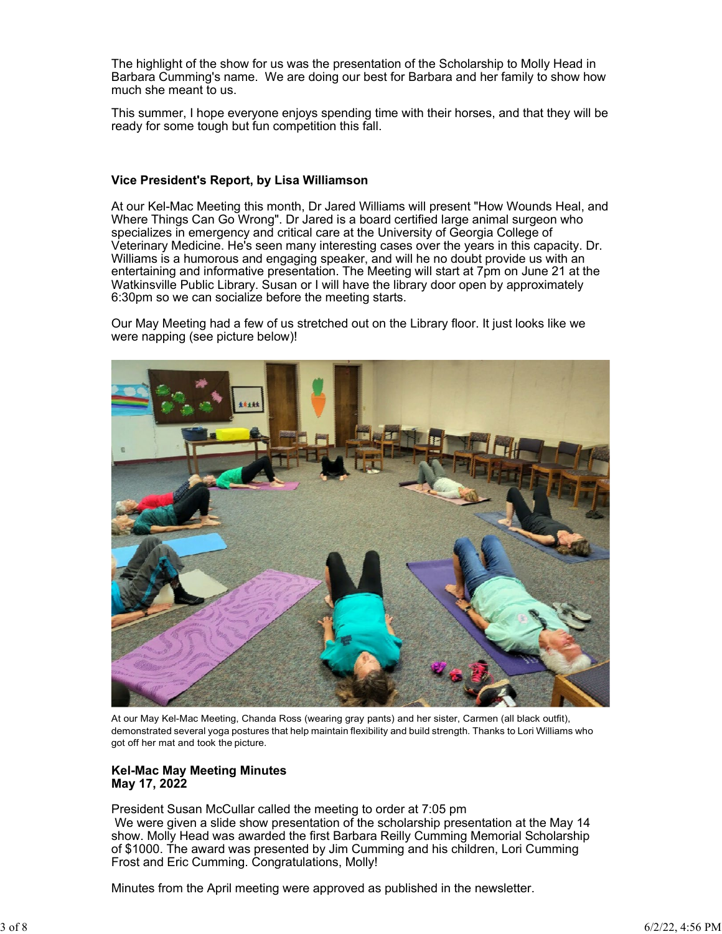The highlight of the show for us was the presentation of the Scholarship to Molly Head in Barbara Cumming's name. We are doing our best for Barbara and her family to show how much she meant to us.

This summer, I hope everyone enjoys spending time with their horses, and that they will be ready for some tough but fun competition this fall.

# **Vice President's Report, by Lisa Williamson**

At our Kel-Mac Meeting this month, Dr Jared Williams will present "How Wounds Heal, and Where Things Can Go Wrong". Dr Jared is a board certified large animal surgeon who specializes in emergency and critical care at the University of Georgia College of Veterinary Medicine. He's seen many interesting cases over the years in this capacity. Dr. Williams is a humorous and engaging speaker, and will he no doubt provide us with an entertaining and informative presentation. The Meeting will start at 7pm on June 21 at the Watkinsville Public Library. Susan or I will have the library door open by approximately 6:30pm so we can socialize before the meeting starts.

Our May Meeting had a few of us stretched out on the Library floor. It just looks like we were napping (see picture below)!



At our May Kel-Mac Meeting, Chanda Ross (wearing gray pants) and her sister, Carmen (all black outfit), demonstrated several yoga postures that help maintain flexibility and build strength. Thanks to Lori Williams who got off her mat and took the picture.

#### **Kel-Mac May Meeting Minutes May 17, 2022**

President Susan McCullar called the meeting to order at 7:05 pm We were given a slide show presentation of the scholarship presentation at the May 14 show. Molly Head was awarded the first Barbara Reilly Cumming Memorial Scholarship of \$1000. The award was presented by Jim Cumming and his children, Lori Cumming Frost and Eric Cumming. Congratulations, Molly!

Minutes from the April meeting were approved as published in the newsletter.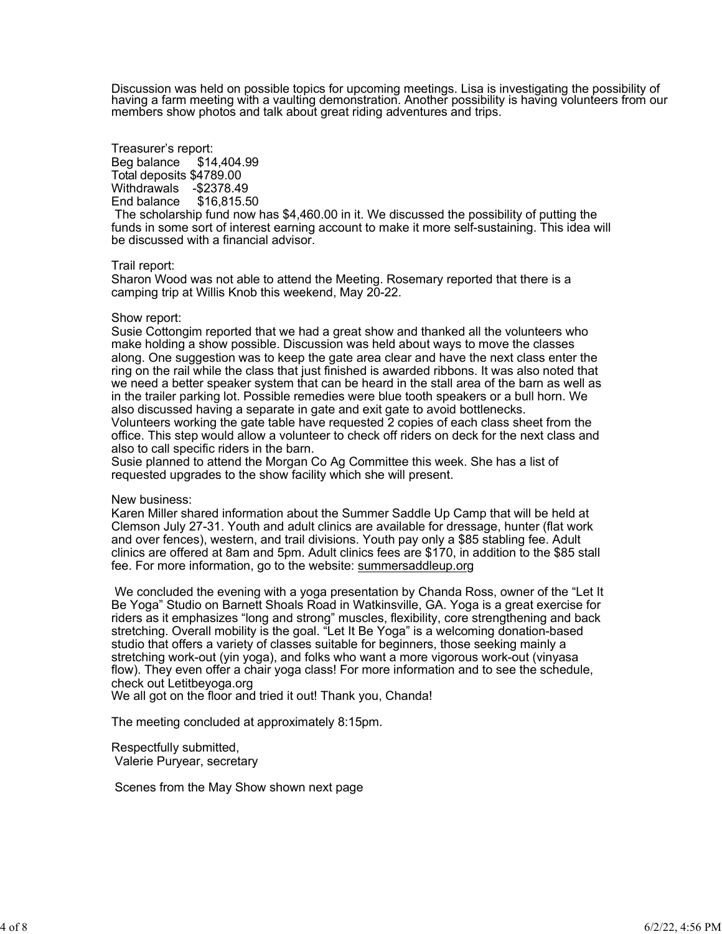Discussion was held on possible topics for upcoming meetings. Lisa is investigating the possibility of having a farm meeting with a vaulting demonstration. Another possibility is having volunteers from our<br>members show photos and talk about great riding adventures and trips.

## Treasurer's report: Beg balance \$14,404.99 Total deposits \$4789.00 Withdrawals - \$2378.49<br>End balance \$16,815.50 End balance

The scholarship fund now has \$4,460.00 in it. We discussed the possibility of putting the funds in some sort of interest earning account to make it more self-sustaining. This idea will be discussed with a financial advisor.

#### Trail report:

Sharon Wood was not able to attend the Meeting. Rosemary reported that there is a camping trip at Willis Knob this weekend, May 20-22.

#### Show report:

Susie Cottongim reported that we had a great show and thanked all the volunteers who make holding a show possible. Discussion was held about ways to move the classes along. One suggestion was to keep the gate area clear and have the next class enter the ring on the rail while the class that just finished is awarded ribbons. It was also noted that we need a better speaker system that can be heard in the stall area of the barn as well as in the trailer parking lot. Possible remedies were blue tooth speakers or a bull horn. We also discussed having a separate in gate and exit gate to avoid bottlenecks. Volunteers working the gate table have requested 2 copies of each class sheet from the

office. This step would allow a volunteer to check off riders on deck for the next class and also to call specific riders in the barn.

Susie planned to attend the Morgan Co Ag Committee this week. She has a list of requested upgrades to the show facility which she will present.

#### New business:

Karen Miller shared information about the Summer Saddle Up Camp that will be held at Clemson July 27-31. Youth and adult clinics are available for dressage, hunter (flat work and over fences), western, and trail divisions. Youth pay only a \$85 stabling fee. Adult clinics are offered at 8am and 5pm. Adult clinics fees are \$170, in addition to the \$85 stall fee. For more information, go to the website: summersaddleup.org

We concluded the evening with a yoga presentation by Chanda Ross, owner of the "Let It Be Yoga" Studio on Barnett Shoals Road in Watkinsville, GA. Yoga is a great exercise for riders as it emphasizes "long and strong" muscles, flexibility, core strengthening and back stretching. Overall mobility is the goal. "Let It Be Yoga" is a welcoming donation-based studio that offers a variety of classes suitable for beginners, those seeking mainly a stretching work-out (yin yoga), and folks who want a more vigorous work-out (vinyasa flow). They even offer a chair yoga class! For more information and to see the schedule, check out Letitbeyoga.org

We all got on the floor and tried it out! Thank you, Chanda!

The meeting concluded at approximately 8:15pm.

Respectfully submitted, Valerie Puryear, secretary

Scenes from the May Show shown next page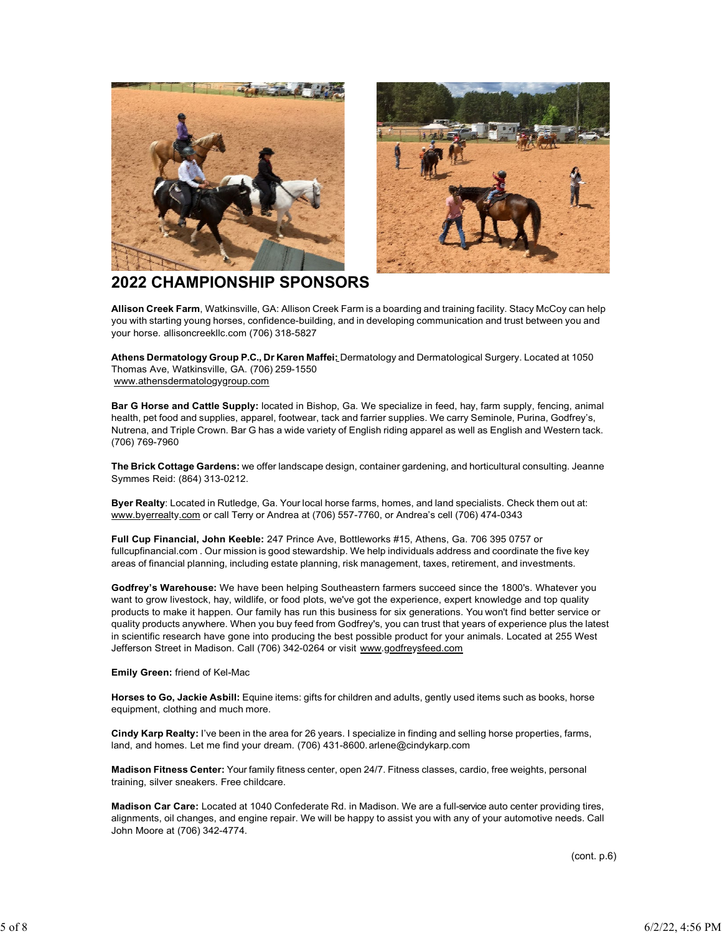



# **2022 CHAMPIONSHIP SPONSORS**

**Allison Creek Farm**, Watkinsville, GA: Allison Creek Farm is a boarding and training facility. Stacy McCoy can help you with starting young horses, confidence-building, and in developing communication and trust between you and your horse. allisoncreekllc.com (706) 318-5827

**Athens Dermatology Group P.C., Dr Karen Maffei:** Dermatology and Dermatological Surgery. Located at 1050 Thomas Ave, Watkinsville, GA. (706) 259-1550 [www.athensdermatologygroup.com](http://www.athensdermatologygroup.com/)

**Bar G Horse and Cattle Supply:** located in Bishop, Ga. We specialize in feed, hay, farm supply, fencing, animal health, pet food and supplies, apparel, footwear, tack and farrier supplies. We carry Seminole, Purina, Godfrey's, Nutrena, and Triple Crown. Bar G has a wide variety of English riding apparel as well as English and Western tack. (706) 769-7960

**The Brick Cottage Gardens:** we offer landscape design, container gardening, and horticultural consulting. Jeanne Symmes Reid: (864) 313-0212.

**Byer Realty**: Located in Rutledge, Ga. Your local horse farms, homes, and land specialists. Check them out at: [www.byerrealty.com](http://www.byerrealty.com/) or call Terry or Andrea at (706) 557-7760, or Andrea's cell (706) 474-0343

**Full Cup Financial, John Keeble:** 247 Prince Ave, Bottleworks #15, Athens, Ga. 706 395 0757 or fullcupfinancial.com . Our mission is good stewardship. We help individuals address and coordinate the five key areas of financial planning, including estate planning, risk management, taxes, retirement, and investments.

**Godfrey's Warehouse:** We have been helping Southeastern farmers succeed since the 1800's. Whatever you want to grow livestock, hay, wildlife, or food plots, we've got the experience, expert knowledge and top quality products to make it happen. Our family has run this business for six generations. You won't find better service or quality products anywhere. When you buy feed from Godfrey's, you can trust that years of experience plus the latest in scientific research have gone into producing the best possible product for your animals. Located at 255 West Jefferson Street in Madison. Call (706) 342-0264 or visit [www.godfreysfeed.com](http://www.godfreysfeed.com/)

**Emily Green:** friend of Kel-Mac

**Horses to Go, Jackie Asbill:** Equine items: gifts for children and adults, gently used items such as books, horse equipment, clothing and much more.

**Cindy Karp Realty:** I've been in the area for 26 years. I specialize in finding and selling horse properties, farms, land, and homes. Let me find your dream. (706) 431-8600. arlene@cindykarp.com

**Madison Fitness Center:** Your family fitness center, open 24/7. Fitness classes, cardio, free weights, personal training, silver sneakers. Free childcare.

**Madison Car Care:** Located at 1040 Confederate Rd. in Madison. We are a full-service auto center providing tires, alignments, oil changes, and engine repair. We will be happy to assist you with any of your automotive needs. Call John Moore at (706) 342-4774.

(cont. p.6)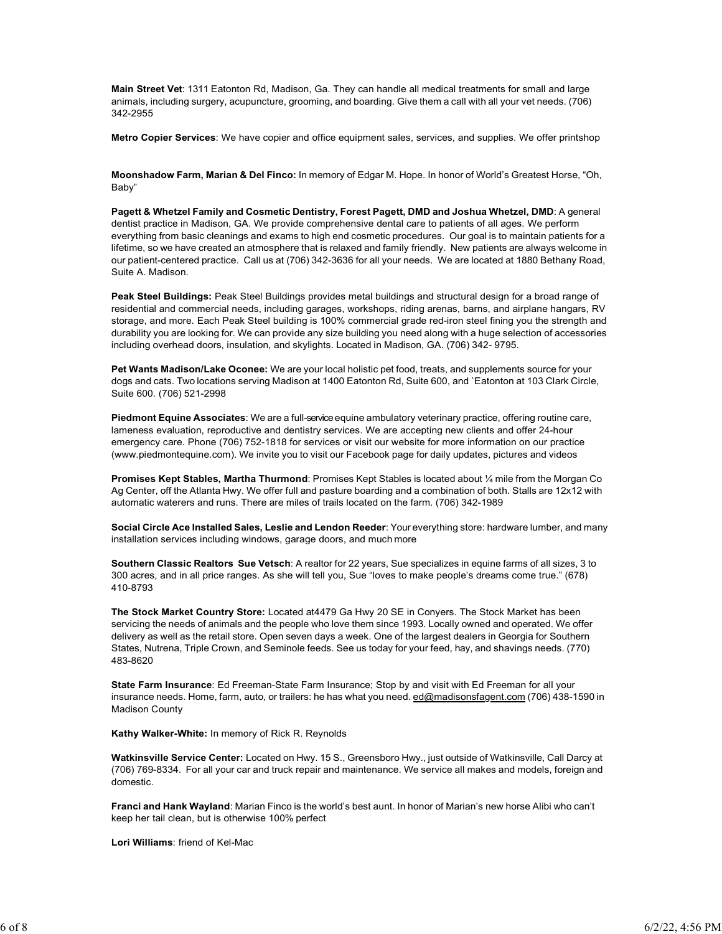**Main Street Vet**: 1311 Eatonton Rd, Madison, Ga. They can handle all medical treatments for small and large animals, including surgery, acupuncture, grooming, and boarding. Give them a call with all your vet needs. (706) 342-2955

**Metro Copier Services**: We have copier and office equipment sales, services, and supplies. We offer printshop

**Moonshadow Farm, Marian & Del Finco:** In memory of Edgar M. Hope. In honor of World's Greatest Horse, "Oh, Baby"

**Pagett & Whetzel Family and Cosmetic Dentistry, Forest Pagett, DMD and Joshua Whetzel, DMD**: A general dentist practice in Madison, GA. We provide comprehensive dental care to patients of all ages. We perform everything from basic cleanings and exams to high end cosmetic procedures. Our goal is to maintain patients for a lifetime, so we have created an atmosphere that is relaxed and family friendly. New patients are always welcome in our patient-centered practice. Call us at (706) 342-3636 for all your needs. We are located at 1880 Bethany Road, Suite A. Madison.

**Peak Steel Buildings:** Peak Steel Buildings provides metal buildings and structural design for a broad range of residential and commercial needs, including garages, workshops, riding arenas, barns, and airplane hangars, RV storage, and more. Each Peak Steel building is 100% commercial grade red-iron steel fining you the strength and durability you are looking for. We can provide any size building you need along with a huge selection of accessories including overhead doors, insulation, and skylights. Located in Madison, GA. (706) 342- 9795.

**Pet Wants Madison/Lake Oconee:** We are your local holistic pet food, treats, and supplements source for your dogs and cats. Two locations serving Madison at 1400 Eatonton Rd, Suite 600, and `Eatonton at 103 Clark Circle, Suite 600. (706) 521-2998

**Piedmont Equine Associates:** We are a full-service equine ambulatory veterinary practice, offering routine care, lameness evaluation, reproductive and dentistry services. We are accepting new clients and offer 24-hour emergency care. Phone (706) 752-1818 for services or visit our website for more information on our practice (www.piedmontequine.com). We invite you to visit our Facebook page for daily updates, pictures and videos

**Promises Kept Stables, Martha Thurmond**: Promises Kept Stables is located about ¼ mile from the Morgan Co Ag Center, off the Atlanta Hwy. We offer full and pasture boarding and a combination of both. Stalls are 12x12 with automatic waterers and runs. There are miles of trails located on the farm. (706) 342-1989

**Social Circle Ace Installed Sales, Leslie and Lendon Reeder**: Your everything store: hardware lumber, and many installation services including windows, garage doors, and much more

**Southern Classic Realtors Sue Vetsch**: A realtor for 22 years, Sue specializes in equine farms of all sizes, 3 to 300 acres, and in all price ranges. As she will tell you, Sue "loves to make people's dreams come true." (678) 410-8793

**The Stock Market Country Store:** Located at4479 Ga Hwy 20 SE in Conyers. The Stock Market has been servicing the needs of animals and the people who love them since 1993. Locally owned and operated. We offer delivery as well as the retail store. Open seven days a week. One of the largest dealers in Georgia for Southern States, Nutrena, Triple Crown, and Seminole feeds. See us today for your feed, hay, and shavings needs. (770) 483-8620

**State Farm Insurance**: Ed Freeman-State Farm Insurance; Stop by and visit with Ed Freeman for all your insurance needs. Home, farm, auto, or trailers: he has what you need. [ed@madisonsfagent.com](mailto:ed@madisonsfagent.com) (706) 438-1590 in Madison County

**Kathy Walker-White:** In memory of Rick R. Reynolds

**Watkinsville Service Center:** Located on Hwy. 15 S., Greensboro Hwy., just outside of Watkinsville, Call Darcy at (706) 769-8334. For all your car and truck repair and maintenance. We service all makes and models, foreign and domestic.

**Franci and Hank Wayland**: Marian Finco is the world's best aunt. In honor of Marian's new horse Alibi who can't keep her tail clean, but is otherwise 100% perfect

**Lori Williams**: friend of Kel-Mac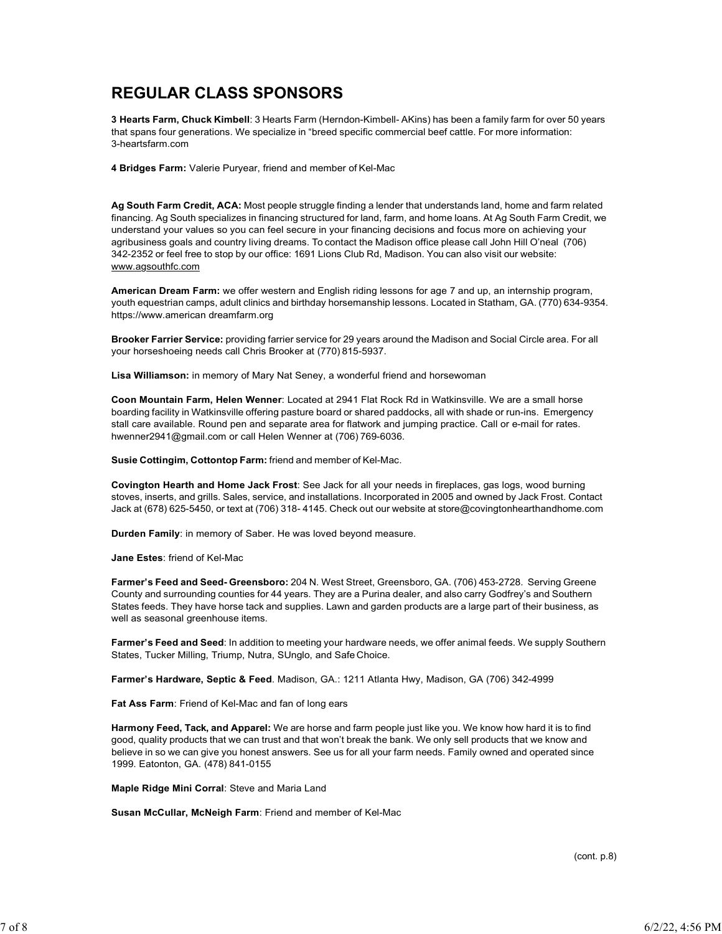# **REGULAR CLASS SPONSORS**

**3 Hearts Farm, Chuck Kimbell**: 3 Hearts Farm (Herndon-Kimbell- AKins) has been a family farm for over 50 years that spans four generations. We specialize in "breed specific commercial beef cattle. For more information: 3-heartsfarm.com

**4 Bridges Farm:** Valerie Puryear, friend and member of Kel-Mac

**Ag South Farm Credit, ACA:** Most people struggle finding a lender that understands land, home and farm related financing. Ag South specializes in financing structured for land, farm, and home loans. At Ag South Farm Credit, we understand your values so you can feel secure in your financing decisions and focus more on achieving your agribusiness goals and country living dreams. To contact the Madison office please call John Hill O'neal (706) 342-2352 or feel free to stop by our office: 1691 Lions Club Rd, Madison. You can also visit our website: [www.agsouthfc.com](http://www.agsouthfc.com/)

**American Dream Farm:** we offer western and English riding lessons for age 7 and up, an internship program, youth equestrian camps, adult clinics and birthday horsemanship lessons. Located in Statham, GA. (770) 634-9354. https://www.american dreamfarm.org

**Brooker Farrier Service:** providing farrier service for 29 years around the Madison and Social Circle area. For all your horseshoeing needs call Chris Brooker at (770) 815-5937.

**Lisa Williamson:** in memory of Mary Nat Seney, a wonderful friend and horsewoman

**Coon Mountain Farm, Helen Wenner**: Located at 2941 Flat Rock Rd in Watkinsville. We are a small horse boarding facility in Watkinsville offering pasture board or shared paddocks, all with shade or run-ins. Emergency stall care available. Round pen and separate area for flatwork and jumping practice. Call or e-mail for rates. [hwenner2941@gmail.com o](mailto:hwenner2941@gmail.com)r call Helen Wenner at (706) 769-6036.

**Susie Cottingim, Cottontop Farm:** friend and member of Kel-Mac.

**Covington Hearth and Home Jack Frost**: See Jack for all your needs in fireplaces, gas logs, wood burning stoves, inserts, and grills. Sales, service, and installations. Incorporated in 2005 and owned by Jack Frost. Contact Jack at (678) 625-5450, or text at (706) 318- 4145. Check out our website at [store@covingtonhearthandhome.com](mailto:store@covingtonhearthandhome.com)

**Durden Family**: in memory of Saber. He was loved beyond measure.

**Jane Estes**: friend of Kel-Mac

**Farmer's Feed and Seed- Greensboro:** 204 N. West Street, Greensboro, GA. (706) 453-2728. Serving Greene County and surrounding counties for 44 years. They are a Purina dealer, and also carry Godfrey's and Southern States feeds. They have horse tack and supplies. Lawn and garden products are a large part of their business, as well as seasonal greenhouse items.

**Farmer's Feed and Seed**: In addition to meeting your hardware needs, we offer animal feeds. We supply Southern States, Tucker Milling, Triump, Nutra, SUnglo, and Safe Choice.

**Farmer's Hardware, Septic & Feed**. Madison, GA.: 1211 Atlanta Hwy, Madison, GA (706) 342-4999

**Fat Ass Farm**: Friend of Kel-Mac and fan of long ears

**Harmony Feed, Tack, and Apparel:** We are horse and farm people just like you. We know how hard it is to find good, quality products that we can trust and that won't break the bank. We only sell products that we know and believe in so we can give you honest answers. See us for all your farm needs. Family owned and operated since 1999. Eatonton, GA. (478) 841-0155

**Maple Ridge Mini Corral**: Steve and Maria Land

**Susan McCullar, McNeigh Farm**: Friend and member of Kel-Mac